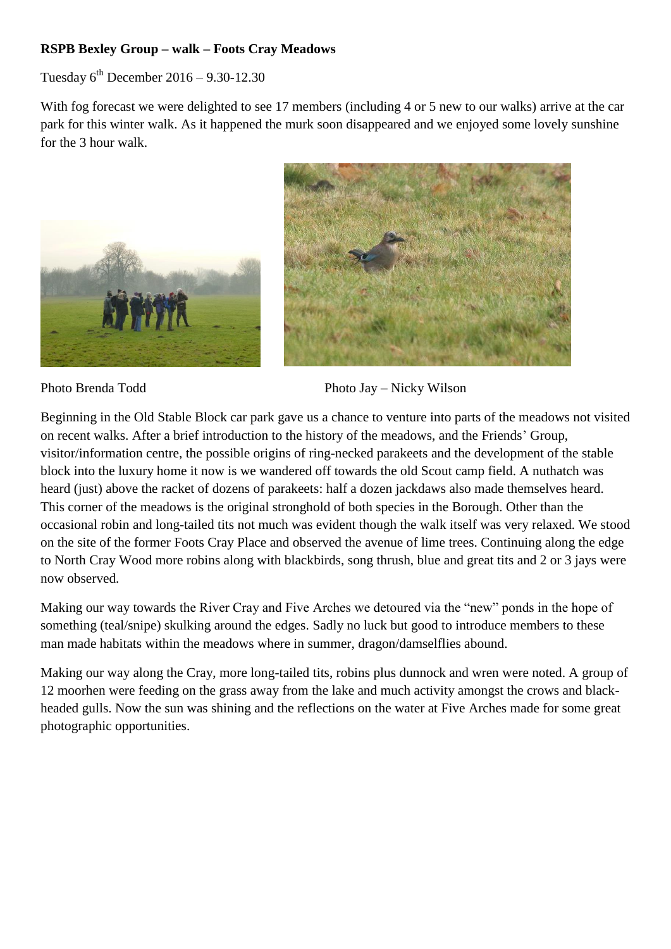## **RSPB Bexley Group – walk – Foots Cray Meadows**

Tuesday  $6^{th}$  December 2016 – 9.30-12.30

With fog forecast we were delighted to see 17 members (including 4 or 5 new to our walks) arrive at the car park for this winter walk. As it happened the murk soon disappeared and we enjoyed some lovely sunshine for the 3 hour walk.



Photo Brenda Todd Photo Jay – Nicky Wilson

Beginning in the Old Stable Block car park gave us a chance to venture into parts of the meadows not visited on recent walks. After a brief introduction to the history of the meadows, and the Friends' Group, visitor/information centre, the possible origins of ring-necked parakeets and the development of the stable block into the luxury home it now is we wandered off towards the old Scout camp field. A nuthatch was heard (just) above the racket of dozens of parakeets: half a dozen jackdaws also made themselves heard. This corner of the meadows is the original stronghold of both species in the Borough. Other than the occasional robin and long-tailed tits not much was evident though the walk itself was very relaxed. We stood on the site of the former Foots Cray Place and observed the avenue of lime trees. Continuing along the edge to North Cray Wood more robins along with blackbirds, song thrush, blue and great tits and 2 or 3 jays were now observed.

Making our way towards the River Cray and Five Arches we detoured via the "new" ponds in the hope of something (teal/snipe) skulking around the edges. Sadly no luck but good to introduce members to these man made habitats within the meadows where in summer, dragon/damselflies abound.

Making our way along the Cray, more long-tailed tits, robins plus dunnock and wren were noted. A group of 12 moorhen were feeding on the grass away from the lake and much activity amongst the crows and blackheaded gulls. Now the sun was shining and the reflections on the water at Five Arches made for some great photographic opportunities.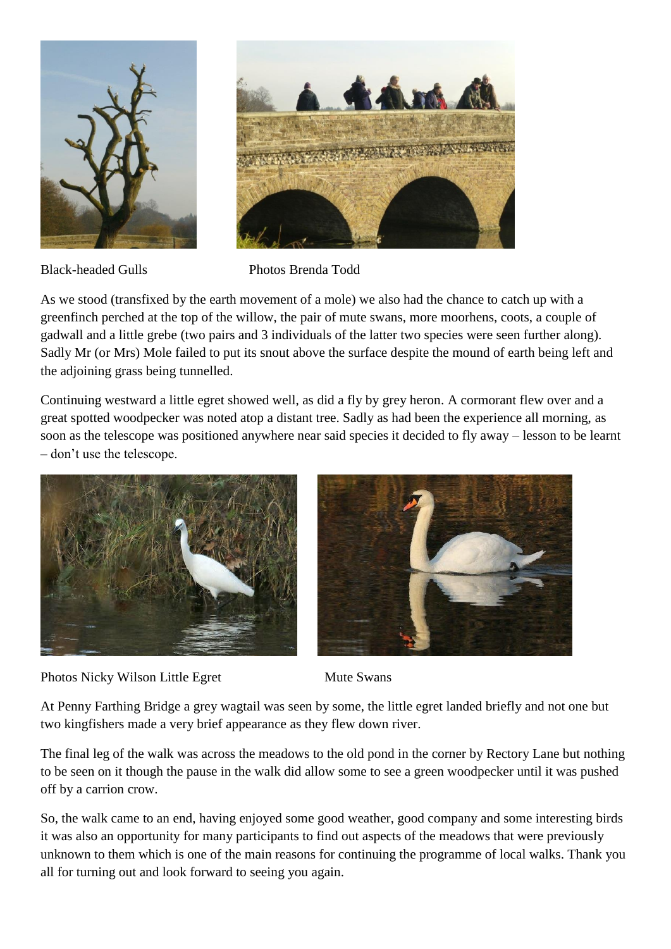



Black-headed Gulls Photos Brenda Todd

As we stood (transfixed by the earth movement of a mole) we also had the chance to catch up with a greenfinch perched at the top of the willow, the pair of mute swans, more moorhens, coots, a couple of gadwall and a little grebe (two pairs and 3 individuals of the latter two species were seen further along). Sadly Mr (or Mrs) Mole failed to put its snout above the surface despite the mound of earth being left and the adjoining grass being tunnelled.

Continuing westward a little egret showed well, as did a fly by grey heron. A cormorant flew over and a great spotted woodpecker was noted atop a distant tree. Sadly as had been the experience all morning, as soon as the telescope was positioned anywhere near said species it decided to fly away – lesson to be learnt – don't use the telescope.



Photos Nicky Wilson Little Egret Mute Swans



At Penny Farthing Bridge a grey wagtail was seen by some, the little egret landed briefly and not one but two kingfishers made a very brief appearance as they flew down river.

The final leg of the walk was across the meadows to the old pond in the corner by Rectory Lane but nothing to be seen on it though the pause in the walk did allow some to see a green woodpecker until it was pushed off by a carrion crow.

So, the walk came to an end, having enjoyed some good weather, good company and some interesting birds it was also an opportunity for many participants to find out aspects of the meadows that were previously unknown to them which is one of the main reasons for continuing the programme of local walks. Thank you all for turning out and look forward to seeing you again.